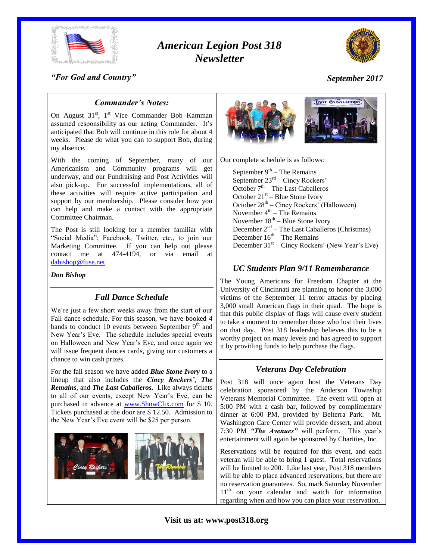

# *American Legion Post 318 Newsletter*



# *"For God and Country"*

# *September 2017*

# *Commander's Notes:*

On August 31<sup>st</sup>, 1<sup>st</sup> Vice Commander Bob Kamman assumed responsibility as our acting Commander. It's anticipated that Bob will continue in this role for about 4 weeks. Please do what you can to support Bob, during my absence.

With the coming of September, many of our Americanism and Community programs will get underway, and our Fundraising and Post Activities will also pick-up. For successful implementations, all of these activities will require active participation and support by our membership. Please consider how you can help and make a contact with the appropriate Committee Chairman.

The Post is still looking for a member familiar with "Social Media"; Facebook, Twitter, etc., to join our Marketing Committee. If you can help out please contact me at 474-4194, or via email at [dabishop@fuse.net.](mailto:dabishop@fuse.net)

#### *Don Bishop*

# *Fall Dance Schedule*

We're just a few short weeks away from the start of our Fall dance schedule. For this season, we have booked 4 bands to conduct 10 events between September  $9<sup>th</sup>$  and New Year's Eve. The schedule includes special events on Halloween and New Year's Eve, and once again we will issue frequent dances cards, giving our customers a chance to win cash prizes.

For the fall season we have added *Blue Stone Ivory* to a lineup that also includes the *Cincy Rockers'*, *The Remains*, and *The Last Caballeros.* Like always tickets to all of our events, except New Year's Eve, can be purchased in advance at [www.ShowClix.com](http://www.showclix.com/) for \$ 10. Tickets purchased at the door are \$ 12.50. Admission to the New Year's Eve event will be \$25 per person.





Our complete schedule is as follows:

September  $9<sup>th</sup>$  – The Remains September  $23<sup>rd</sup>$  – Cincy Rockers' October 7<sup>th</sup> – The Last Caballeros October  $21<sup>st</sup>$  – Blue Stone Ivory October 28<sup>th</sup> – Cincy Rockers' (Halloween) November  $4<sup>th</sup>$  – The Remains November 18<sup>th</sup> – Blue Stone Ivory December 2<sup>nd</sup> – The Last Caballeros (Christmas) December  $16<sup>th</sup>$  – The Remains December 31<sup>st</sup> – Cincy Rockers' (New Year's Eve)

## *UC Students Plan 9/11 Rememberance*

The Young Americans for Freedom Chapter at the University of Cincinnati are planning to honor the 3,000 victims of the September 11 terror attacks by placing 3,000 small American flags in their quad. The hope is that this public display of flags will cause every student to take a moment to remember those who lost their lives on that day. Post 318 leadership believes this to be a worthy project on many levels and has agreed to support it by providing funds to help purchase the flags.

# *Veterans Day Celebration*

Post 318 will once again host the Veterans Day celebration sponsored by the Anderson Township Veterans Memorial Committee. The event will open at 5:00 PM with a cash bar, followed by complimentary dinner at 6:00 PM, provided by Belterra Park. Mt. Washington Care Center will provide dessert, and about 7:30 PM *"The Avenues"* will perform. This year's entertainment will again be sponsored by Charities, Inc.

Reservations will be required for this event, and each veteran will be able to bring 1 guest. Total reservations will be limited to 200. Like last year, Post 318 members will be able to place advanced reservations, but there are no reservation guarantees. So, mark Saturday November  $11<sup>th</sup>$  on your calendar and watch for information regarding when and how you can place your reservation.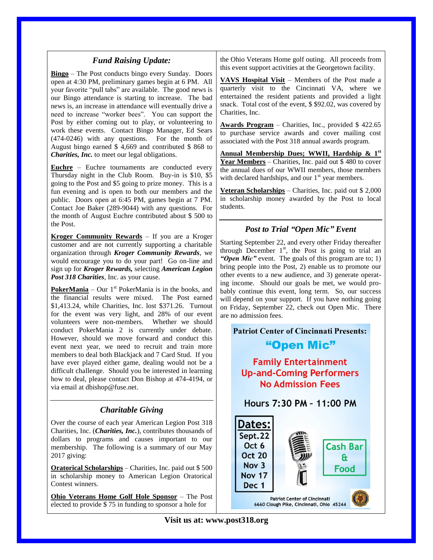# *Fund Raising Update:*

**Bingo** – The Post conducts bingo every Sunday. Doors open at 4:30 PM, preliminary games begin at 6 PM. All your favorite "pull tabs" are available. The good news is our Bingo attendance is starting to increase. The bad news is, an increase in attendance will eventually drive a need to increase "worker bees". You can support the Post by either coming out to play, or volunteering to work these events. Contact Bingo Manager, Ed Sears (474-0246) with any questions. For the month of August bingo earned \$ 4,669 and contributed \$ 868 to *Charities, Inc.* to meet our legal obligations.

**Euchre** – Euchre tournaments are conducted every Thursday night in the Club Room. Buy-in is \$10, \$5 going to the Post and \$5 going to prize money. This is a fun evening and is open to both our members and the public. Doors open at 6:45 PM, games begin at 7 PM. Contact Joe Baker (289-9044) with any questions. For the month of August Euchre contributed about \$ 500 to the Post.

**Kroger Community Rewards** – If you are a Kroger customer and are not currently supporting a charitable organization through *Kroger Community Rewards*, we would encourage you to do your part! Go on-line and sign up for *Kroger Rewards,* selecting *American Legion Post 318 Charities*, Inc. as your cause.

**PokerMania** – Our  $1<sup>st</sup>$  PokerMania is in the books, and the financial results were mixed. The Post earned \$1,413.24, while Charities, Inc. lost \$371.26. Turnout for the event was very light, and 28% of our event volunteers were non-members. Whether we should conduct PokerMania 2 is currently under debate. However, should we move forward and conduct this event next year, we need to recruit and train more members to deal both Blackjack and 7 Card Stud. If you have ever played either game, dealing would not be a difficult challenge. Should you be interested in learning how to deal, please contact Don Bishop at 474-4194, or via email at dbishop@fuse.net.

# *Charitable Giving*

Over the course of each year American Legion Post 318 Charities, Inc. (*Charities, Inc.*), contributes thousands of dollars to programs and causes important to our membership. The following is a summary of our May 2017 giving:

**Oratorical Scholarships** – Charities, Inc. paid out \$ 500 in scholarship money to American Legion Oratorical Contest winners.

**Ohio Veterans Home Golf Hole Sponsor** – The Post elected to provide \$ 75 in funding to sponsor a hole for

the Ohio Veterans Home golf outing. All proceeds from this event support activities at the Georgetown facility.

**VAVS Hospital Visit** – Members of the Post made a quarterly visit to the Cincinnati VA, where we entertained the resident patients and provided a light snack. Total cost of the event, \$ \$92.02, was covered by Charities, Inc.

**Awards Program** – Charities, Inc., provided \$ 422.65 to purchase service awards and cover mailing cost associated with the Post 318 annual awards program.

**Annual Membership Dues; WWII, Hardship & 1st Year Members** – Charities, Inc. paid out \$ 480 to cover the annual dues of our WWII members, those members with declared hardships, and our  $1<sup>st</sup>$  year members.

**Veteran Scholarships** – Charities, Inc. paid out \$ 2,000 in scholarship money awarded by the Post to local students.

# *Post to Trial "Open Mic" Event*

Starting September 22, and every other Friday thereafter through December  $1<sup>st</sup>$ , the Post is going to trial an "**Open Mic**" event. The goals of this program are to; 1) bring people into the Post, 2) enable us to promote our other events to a new audience, and 3) generate operating income. Should our goals be met, we would probably continue this event, long term. So, our success will depend on your support. If you have nothing going on Friday, September 22, check out Open Mic. There are no admission fees.

# **Patriot Center of Cincinnati Presents:** "Open Mic"

# **Family Entertainment Up-and-Coming Performers No Admission Fees**



**Visit us at: www.post318.org**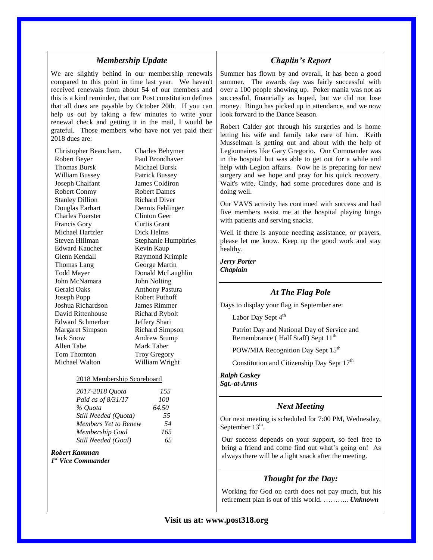### *Membership Update*

We are slightly behind in our membership renewals compared to this point in time last year. We haven't received renewals from about 54 of our members and this is a kind reminder, that our Post constitution defines that all dues are payable by October 20th. If you can help us out by taking a few minutes to write your renewal check and getting it in the mail, I would be grateful. Those members who have not yet paid their 2018 dues are:

Christopher Beaucham. Charles Behymer Robert Beyer Paul Brondhaver Thomas Bursk Michael Bursk William Bussey Patrick Bussey Joseph Chalfant James Coldiron Robert Conmy Robert Dames Stanley Dillion Richard Diver Douglas Earhart Dennis Fehlinger Charles Foerster Clinton Geer Francis Gory Curtis Grant Michael Hartzler Dick Helms Steven Hillman Stephanie Humphries Edward Kaucher Kevin Kaup Glenn Kendall Raymond Krimple Thomas Lang George Martin Todd Mayer Donald McLaughlin John McNamara John Nolting Gerald Oaks Anthony Pastura Joseph Popp Robert Puthoff Joshua Richardson James Rimmer David Rittenhouse Richard Rybolt Edward Schmerber Jeffery Shari Margaret Simpson Richard Simpson Jack Snow Andrew Stump Allen Tabe Mark Taber<br>
Tom Thornton Trov Gregor Michael Walton William Wright

Troy Gregory

#### 2018 Membership Scoreboard

| 2017-2018 Quota      | 155   |
|----------------------|-------|
| Paid as of 8/31/17   | 100   |
| % Ouota              | 64.50 |
| Still Needed (Ouota) | 55    |
| Members Yet to Renew | 54    |
| Membership Goal      | 165   |
| Still Needed (Goal)  | 65    |

### *Robert Kamman*

*1 st Vice Commander*

#### *Chaplin's Report*

Summer has flown by and overall, it has been a good summer. The awards day was fairly successful with over a 100 people showing up. Poker mania was not as successful, financially as hoped, but we did not lose money. Bingo has picked up in attendance, and we now look forward to the Dance Season.

Robert Calder got through his surgeries and is home letting his wife and family take care of him. Keith Musselman is getting out and about with the help of Legionnaires like Gary Gregorio. Our Commander was in the hospital but was able to get out for a while and help with Legion affairs. Now he is preparing for new surgery and we hope and pray for his quick recovery. Walt's wife, Cindy, had some procedures done and is doing well.

Our VAVS activity has continued with success and had five members assist me at the hospital playing bingo with patients and serving snacks.

Well if there is anyone needing assistance, or prayers, please let me know. Keep up the good work and stay healthy.

*Jerry Porter Chaplain*

### *At The Flag Pole*

Days to display your flag in September are:

Labor Day Sept  $4^{th}$ 

Patriot Day and National Day of Service and Remembrance ( Half Staff) Sept  $11<sup>th</sup>$ 

POW/MIA Recognition Day Sept 15<sup>th</sup>

Constitution and Citizenship Day Sept 17<sup>th</sup>

*Ralph Caskey Sgt.-at-Arms*

### *Next Meeting*

Our next meeting is scheduled for 7:00 PM, Wednesday, September  $13<sup>th</sup>$ .

Our success depends on your support, so feel free to bring a friend and come find out what's going on! As always there will be a light snack after the meeting.

### *Thought for the Day:*

Working for God on earth does not pay much, but his retirement plan is out of this world. ……….. *Unknown*

### **Visit us at: www.post318.org**